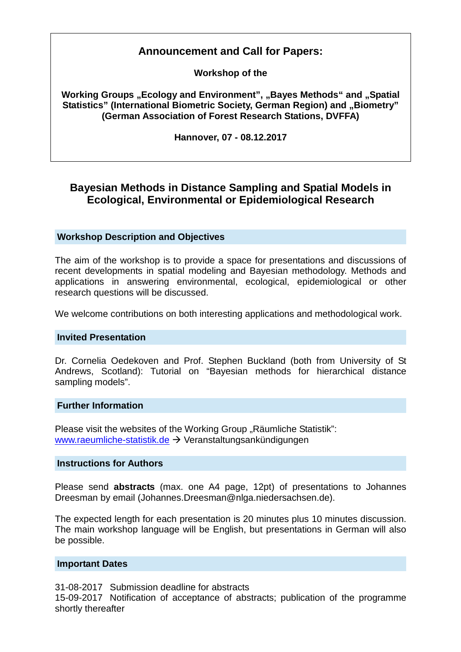# **Announcement and Call for Papers:**

**Workshop of the** 

**Working Groups "Ecology and Environment", "Bayes Methods" and "Spatial Statistics" (International Biometric Society, German Region) and "Biometry" (German Association of Forest Research Stations, DVFFA)** 

**Hannover, 07 - 08.12.2017**

# **Bayesian Methods in Distance Sampling and Spatial Models in Ecological, Environmental or Epidemiological Research**

## **Workshop Description and Objectives**

The aim of the workshop is to provide a space for presentations and discussions of recent developments in spatial modeling and Bayesian methodology. Methods and applications in answering environmental, ecological, epidemiological or other research questions will be discussed.

We welcome contributions on both interesting applications and methodological work.

### **Invited Presentation**

Dr. Cornelia Oedekoven and Prof. Stephen Buckland (both from University of St Andrews, Scotland): Tutorial on "Bayesian methods for hierarchical distance sampling models".

#### **Further Information**

Please visit the websites of the Working Group "Räumliche Statistik": www.raeumliche-statistik.de Veranstaltungsankündigungen

#### **Instructions for Authors**

Please send **abstracts** (max. one A4 page, 12pt) of presentations to Johannes Dreesman by email (Johannes.Dreesman@nlga.niedersachsen.de).

The expected length for each presentation is 20 minutes plus 10 minutes discussion. The main workshop language will be English, but presentations in German will also be possible.

#### **Important Dates**

31-08-2017 Submission deadline for abstracts

15-09-2017 Notification of acceptance of abstracts; publication of the programme shortly thereafter